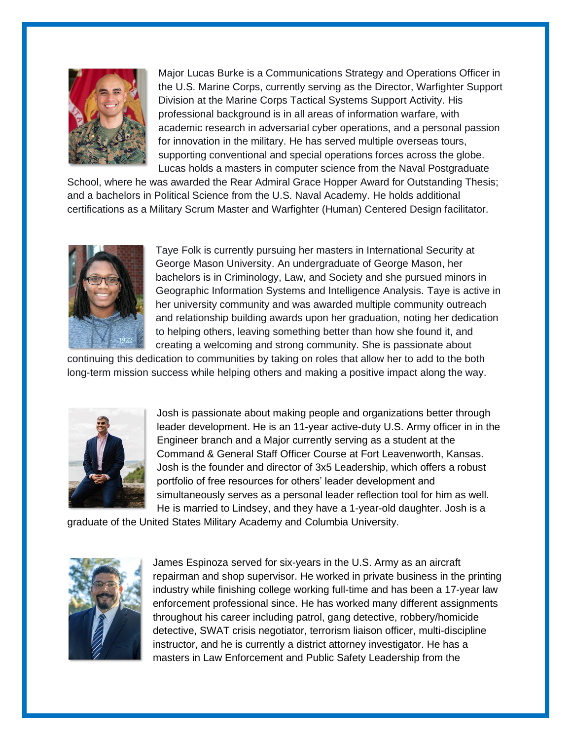

Major Lucas Burke is a Communications Strategy and Operations Officer in the U.S. Marine Corps, currently serving as the Director, Warfighter Support Division at the Marine Corps Tactical Systems Support Activity. His professional background is in all areas of information warfare, with academic research in adversarial cyber operations, and a personal passion for innovation in the military. He has served multiple overseas tours, supporting conventional and special operations forces across the globe. Lucas holds a masters in computer science from the Naval Postgraduate

School, where he was awarded the Rear Admiral Grace Hopper Award for Outstanding Thesis; and a bachelors in Political Science from the U.S. Naval Academy. He holds additional certifications as a Military Scrum Master and Warfighter (Human) Centered Design facilitator.



Taye Folk is currently pursuing her masters in International Security at George Mason University. An undergraduate of George Mason, her bachelors is in Criminology, Law, and Society and she pursued minors in Geographic Information Systems and Intelligence Analysis. Taye is active in her university community and was awarded multiple community outreach and relationship building awards upon her graduation, noting her dedication to helping others, leaving something better than how she found it, and creating a welcoming and strong community. She is passionate about

continuing this dedication to communities by taking on roles that allow her to add to the both long-term mission success while helping others and making a positive impact along the way.



Josh is passionate about making people and organizations better through leader development. He is an 11-year active-duty U.S. Army officer in in the Engineer branch and a Major currently serving as a student at the Command & General Staff Officer Course at Fort Leavenworth, Kansas. Josh is the founder and director of 3x5 Leadership, which offers a robust portfolio of free resources for others' leader development and simultaneously serves as a personal leader reflection tool for him as well. He is married to Lindsey, and they have a 1-year-old daughter. Josh is a

graduate of the United States Military Academy and Columbia University.



James Espinoza served for six-years in the U.S. Army as an aircraft repairman and shop supervisor. He worked in private business in the printing industry while finishing college working full-time and has been a 17-year law enforcement professional since. He has worked many different assignments throughout his career including patrol, gang detective, robbery/homicide detective, SWAT crisis negotiator, terrorism liaison officer, multi-discipline instructor, and he is currently a district attorney investigator. He has a masters in Law Enforcement and Public Safety Leadership from the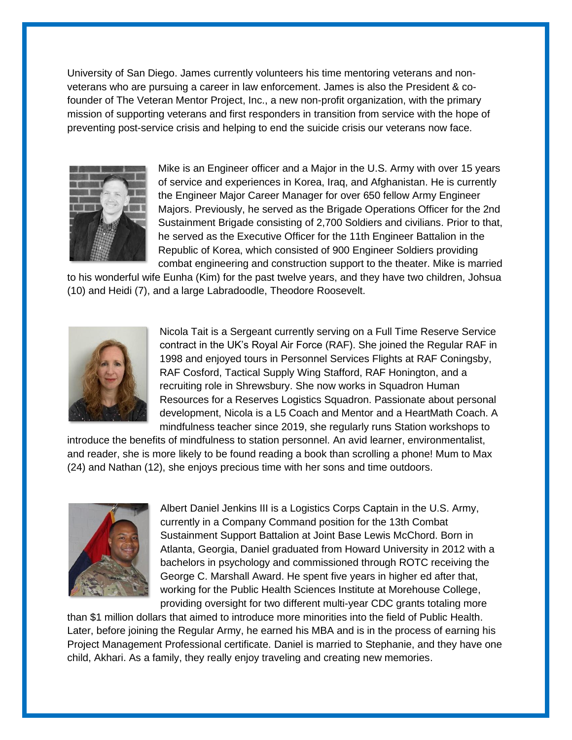University of San Diego. James currently volunteers his time mentoring veterans and nonveterans who are pursuing a career in law enforcement. James is also the President & cofounder of The Veteran Mentor Project, Inc., a new non-profit organization, with the primary mission of supporting veterans and first responders in transition from service with the hope of preventing post-service crisis and helping to end the suicide crisis our veterans now face.



Mike is an Engineer officer and a Major in the U.S. Army with over 15 years of service and experiences in Korea, Iraq, and Afghanistan. He is currently the Engineer Major Career Manager for over 650 fellow Army Engineer Majors. Previously, he served as the Brigade Operations Officer for the 2nd Sustainment Brigade consisting of 2,700 Soldiers and civilians. Prior to that, he served as the Executive Officer for the 11th Engineer Battalion in the Republic of Korea, which consisted of 900 Engineer Soldiers providing combat engineering and construction support to the theater. Mike is married

to his wonderful wife Eunha (Kim) for the past twelve years, and they have two children, Johsua (10) and Heidi (7), and a large Labradoodle, Theodore Roosevelt.



Nicola Tait is a Sergeant currently serving on a Full Time Reserve Service contract in the UK's Royal Air Force (RAF). She joined the Regular RAF in 1998 and enjoyed tours in Personnel Services Flights at RAF Coningsby, RAF Cosford, Tactical Supply Wing Stafford, RAF Honington, and a recruiting role in Shrewsbury. She now works in Squadron Human Resources for a Reserves Logistics Squadron. Passionate about personal development, Nicola is a L5 Coach and Mentor and a HeartMath Coach. A mindfulness teacher since 2019, she regularly runs Station workshops to

introduce the benefits of mindfulness to station personnel. An avid learner, environmentalist, and reader, she is more likely to be found reading a book than scrolling a phone! Mum to Max (24) and Nathan (12), she enjoys precious time with her sons and time outdoors.



Albert Daniel Jenkins III is a Logistics Corps Captain in the U.S. Army, currently in a Company Command position for the 13th Combat Sustainment Support Battalion at Joint Base Lewis McChord. Born in Atlanta, Georgia, Daniel graduated from Howard University in 2012 with a bachelors in psychology and commissioned through ROTC receiving the George C. Marshall Award. He spent five years in higher ed after that, working for the Public Health Sciences Institute at Morehouse College, providing oversight for two different multi-year CDC grants totaling more

than \$1 million dollars that aimed to introduce more minorities into the field of Public Health. Later, before joining the Regular Army, he earned his MBA and is in the process of earning his Project Management Professional certificate. Daniel is married to Stephanie, and they have one child, Akhari. As a family, they really enjoy traveling and creating new memories.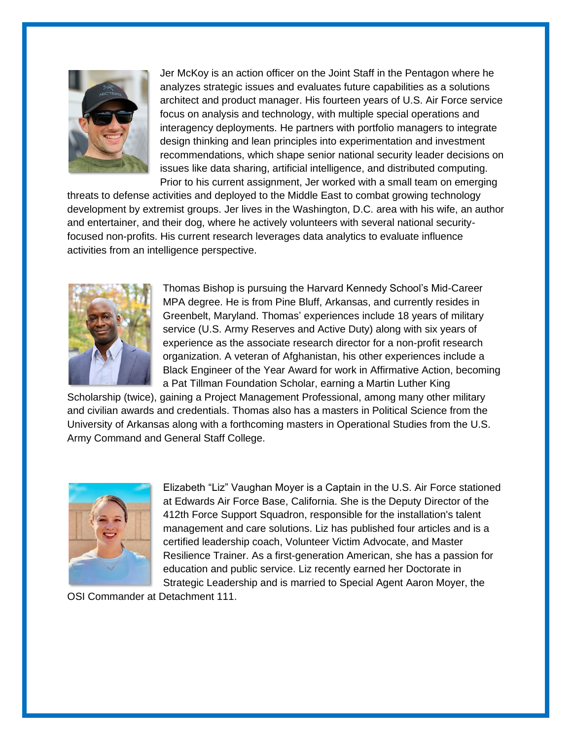

Jer McKoy is an action officer on the Joint Staff in the Pentagon where he analyzes strategic issues and evaluates future capabilities as a solutions architect and product manager. His fourteen years of U.S. Air Force service focus on analysis and technology, with multiple special operations and interagency deployments. He partners with portfolio managers to integrate design thinking and lean principles into experimentation and investment recommendations, which shape senior national security leader decisions on issues like data sharing, artificial intelligence, and distributed computing. Prior to his current assignment, Jer worked with a small team on emerging

threats to defense activities and deployed to the Middle East to combat growing technology development by extremist groups. Jer lives in the Washington, D.C. area with his wife, an author and entertainer, and their dog, where he actively volunteers with several national securityfocused non-profits. His current research leverages data analytics to evaluate influence activities from an intelligence perspective.



Thomas Bishop is pursuing the Harvard Kennedy School's Mid-Career MPA degree. He is from Pine Bluff, Arkansas, and currently resides in Greenbelt, Maryland. Thomas' experiences include 18 years of military service (U.S. Army Reserves and Active Duty) along with six years of experience as the associate research director for a non-profit research organization. A veteran of Afghanistan, his other experiences include a Black Engineer of the Year Award for work in Affirmative Action, becoming a Pat Tillman Foundation Scholar, earning a Martin Luther King

Scholarship (twice), gaining a Project Management Professional, among many other military and civilian awards and credentials. Thomas also has a masters in Political Science from the University of Arkansas along with a forthcoming masters in Operational Studies from the U.S. Army Command and General Staff College.



Elizabeth "Liz" Vaughan Moyer is a Captain in the U.S. Air Force stationed at Edwards Air Force Base, California. She is the Deputy Director of the 412th Force Support Squadron, responsible for the installation's talent management and care solutions. Liz has published four articles and is a certified leadership coach, Volunteer Victim Advocate, and Master Resilience Trainer. As a first-generation American, she has a passion for education and public service. Liz recently earned her Doctorate in Strategic Leadership and is married to Special Agent Aaron Moyer, the

OSI Commander at Detachment 111.